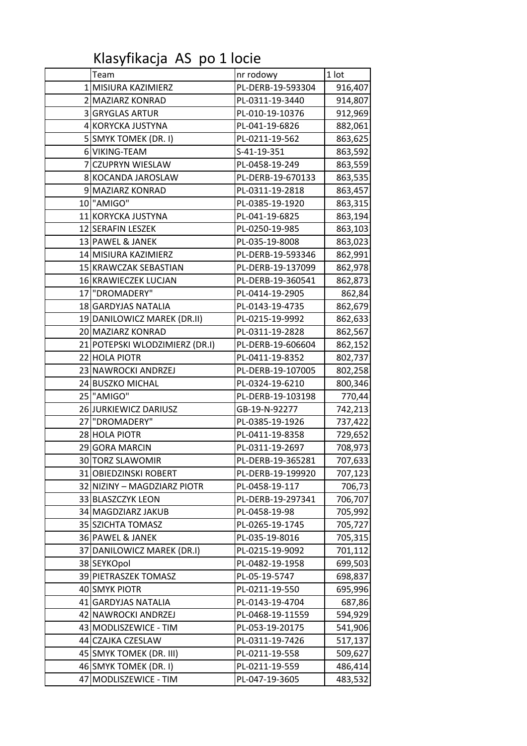Klasyfikacja AS po 1 locie

|                | Team                           | nr rodowy         | $1$ lot |
|----------------|--------------------------------|-------------------|---------|
|                | 1 MISIURA KAZIMIERZ            | PL-DERB-19-593304 | 916,407 |
|                | 2 MAZIARZ KONRAD               | PL-0311-19-3440   | 914,807 |
|                | 3 GRYGLAS ARTUR                | PL-010-19-10376   | 912,969 |
|                | 4 KORYCKA JUSTYNA              | PL-041-19-6826    | 882,061 |
|                | 5 SMYK TOMEK (DR. I)           | PL-0211-19-562    | 863,625 |
|                | 6 VIKING-TEAM                  | S-41-19-351       | 863,592 |
| $\overline{7}$ | <b>CZUPRYN WIESLAW</b>         | PL-0458-19-249    | 863,559 |
|                | 8 KOCANDA JAROSLAW             | PL-DERB-19-670133 | 863,535 |
|                | 9 MAZIARZ KONRAD               | PL-0311-19-2818   | 863,457 |
|                | 10 "AMIGO"                     | PL-0385-19-1920   | 863,315 |
|                | 11 KORYCKA JUSTYNA             | PL-041-19-6825    | 863,194 |
|                | 12 SERAFIN LESZEK              | PL-0250-19-985    | 863,103 |
|                | 13 PAWEL & JANEK               | PL-035-19-8008    | 863,023 |
|                | 14 MISIURA KAZIMIERZ           | PL-DERB-19-593346 | 862,991 |
|                | 15 KRAWCZAK SEBASTIAN          | PL-DERB-19-137099 | 862,978 |
|                | 16 KRAWIECZEK LUCJAN           | PL-DERB-19-360541 | 862,873 |
|                | 17 "DROMADERY"                 | PL-0414-19-2905   | 862,84  |
|                | 18 GARDYJAS NATALIA            | PL-0143-19-4735   | 862,679 |
|                | 19 DANILOWICZ MAREK (DR.II)    | PL-0215-19-9992   | 862,633 |
|                | 20 MAZIARZ KONRAD              | PL-0311-19-2828   | 862,567 |
|                | 21 POTEPSKI WLODZIMIERZ (DR.I) | PL-DERB-19-606604 | 862,152 |
|                | 22 HOLA PIOTR                  | PL-0411-19-8352   | 802,737 |
|                | 23 NAWROCKI ANDRZEJ            | PL-DERB-19-107005 | 802,258 |
|                | 24 BUSZKO MICHAL               | PL-0324-19-6210   | 800,346 |
|                | 25 "AMIGO"                     | PL-DERB-19-103198 | 770,44  |
|                | 26 JURKIEWICZ DARIUSZ          | GB-19-N-92277     | 742,213 |
|                | 27 DROMADERY"                  | PL-0385-19-1926   | 737,422 |
|                | 28 HOLA PIOTR                  | PL-0411-19-8358   | 729,652 |
|                | 29 GORA MARCIN                 | PL-0311-19-2697   | 708,973 |
|                | 30 TORZ SLAWOMIR               | PL-DERB-19-365281 | 707,633 |
|                | 31 OBIEDZINSKI ROBERT          | PL-DERB-19-199920 | 707,123 |
|                | 32 NIZINY - MAGDZIARZ PIOTR    | PL-0458-19-117    | 706,73  |
|                | 33 BLASZCZYK LEON              | PL-DERB-19-297341 | 706,707 |
|                | 34 MAGDZIARZ JAKUB             | PL-0458-19-98     | 705,992 |
|                | 35 SZICHTA TOMASZ              | PL-0265-19-1745   | 705,727 |
|                | 36 PAWEL & JANEK               | PL-035-19-8016    | 705,315 |
|                | 37 DANILOWICZ MAREK (DR.I)     | PL-0215-19-9092   | 701,112 |
|                | 38 SEYKOpol                    | PL-0482-19-1958   | 699,503 |
|                | 39 PIETRASZEK TOMASZ           | PL-05-19-5747     | 698,837 |
|                | 40 SMYK PIOTR                  | PL-0211-19-550    | 695,996 |
|                | 41 GARDYJAS NATALIA            | PL-0143-19-4704   | 687,86  |
|                | 42 NAWROCKI ANDRZEJ            | PL-0468-19-11559  | 594,929 |
|                | 43 MODLISZEWICE - TIM          | PL-053-19-20175   | 541,906 |
|                | 44 CZAJKA CZESLAW              | PL-0311-19-7426   | 517,137 |
|                | 45 SMYK TOMEK (DR. III)        | PL-0211-19-558    | 509,627 |
|                | 46 SMYK TOMEK (DR. I)          | PL-0211-19-559    | 486,414 |
|                | 47 MODLISZEWICE - TIM          | PL-047-19-3605    | 483,532 |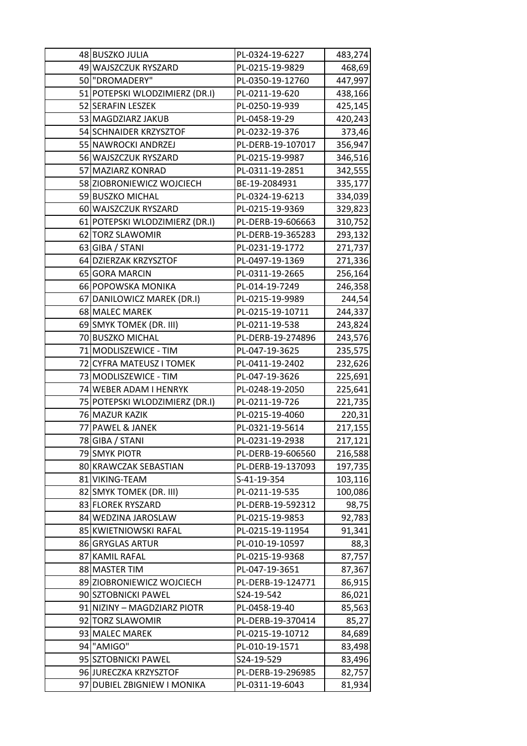| 48 BUSZKO JULIA                | PL-0324-19-6227   | 483,274 |
|--------------------------------|-------------------|---------|
| 49 WAJSZCZUK RYSZARD           | PL-0215-19-9829   | 468,69  |
| 50 "DROMADERY"                 | PL-0350-19-12760  | 447,997 |
| 51 POTEPSKI WLODZIMIERZ (DR.I) | PL-0211-19-620    | 438,166 |
| 52 SERAFIN LESZEK              | PL-0250-19-939    | 425,145 |
| 53 MAGDZIARZ JAKUB             | PL-0458-19-29     | 420,243 |
| 54 SCHNAIDER KRZYSZTOF         | PL-0232-19-376    | 373,46  |
| 55 NAWROCKI ANDRZEJ            | PL-DERB-19-107017 | 356,947 |
| 56 WAJSZCZUK RYSZARD           | PL-0215-19-9987   | 346,516 |
| 57 MAZIARZ KONRAD              | PL-0311-19-2851   | 342,555 |
| 58 ZIOBRONIEWICZ WOJCIECH      | BE-19-2084931     | 335,177 |
| 59 BUSZKO MICHAL               | PL-0324-19-6213   | 334,039 |
| 60 WAJSZCZUK RYSZARD           | PL-0215-19-9369   | 329,823 |
| 61 POTEPSKI WLODZIMIERZ (DR.I) | PL-DERB-19-606663 | 310,752 |
| 62 TORZ SLAWOMIR               | PL-DERB-19-365283 | 293,132 |
| 63 GIBA / STANI                | PL-0231-19-1772   | 271,737 |
| 64 DZIERZAK KRZYSZTOF          | PL-0497-19-1369   | 271,336 |
| 65 GORA MARCIN                 | PL-0311-19-2665   | 256,164 |
| 66 POPOWSKA MONIKA             | PL-014-19-7249    | 246,358 |
| 67 DANILOWICZ MAREK (DR.I)     | PL-0215-19-9989   | 244,54  |
| 68 MALEC MAREK                 | PL-0215-19-10711  | 244,337 |
| 69 SMYK TOMEK (DR. III)        | PL-0211-19-538    | 243,824 |
| 70 BUSZKO MICHAL               | PL-DERB-19-274896 | 243,576 |
| 71 MODLISZEWICE - TIM          | PL-047-19-3625    | 235,575 |
| 72 CYFRA MATEUSZ I TOMEK       | PL-0411-19-2402   | 232,626 |
| 73 MODLISZEWICE - TIM          | PL-047-19-3626    | 225,691 |
| 74 WEBER ADAM I HENRYK         | PL-0248-19-2050   | 225,641 |
| 75 POTEPSKI WLODZIMIERZ (DR.I) | PL-0211-19-726    | 221,735 |
| 76 MAZUR KAZIK                 | PL-0215-19-4060   | 220,31  |
| 77 PAWEL & JANEK               | PL-0321-19-5614   | 217,155 |
| 78 GIBA / STANI                | PL-0231-19-2938   | 217,121 |
| 79 SMYK PIOTR                  | PL-DERB-19-606560 | 216,588 |
| 80 KRAWCZAK SEBASTIAN          | PL-DERB-19-137093 | 197,735 |
| 81 VIKING-TEAM                 | S-41-19-354       | 103,116 |
| 82 SMYK TOMEK (DR. III)        | PL-0211-19-535    | 100,086 |
| 83 FLOREK RYSZARD              | PL-DERB-19-592312 | 98,75   |
| 84 WEDZINA JAROSLAW            | PL-0215-19-9853   | 92,783  |
| 85 KWIETNIOWSKI RAFAL          | PL-0215-19-11954  | 91,341  |
| 86 GRYGLAS ARTUR               | PL-010-19-10597   | 88,3    |
| 87 KAMIL RAFAL                 | PL-0215-19-9368   | 87,757  |
| 88 MASTER TIM                  | PL-047-19-3651    | 87,367  |
| 89 ZIOBRONIEWICZ WOJCIECH      | PL-DERB-19-124771 | 86,915  |
| 90 SZTOBNICKI PAWEL            | S24-19-542        | 86,021  |
| 91 NIZINY - MAGDZIARZ PIOTR    | PL-0458-19-40     | 85,563  |
| 92 TORZ SLAWOMIR               | PL-DERB-19-370414 | 85,27   |
| 93 MALEC MAREK                 | PL-0215-19-10712  | 84,689  |
| 94 "AMIGO"                     | PL-010-19-1571    | 83,498  |
| 95 SZTOBNICKI PAWEL            | S24-19-529        | 83,496  |
| 96 JURECZKA KRZYSZTOF          | PL-DERB-19-296985 | 82,757  |
| 97 DUBIEL ZBIGNIEW I MONIKA    | PL-0311-19-6043   | 81,934  |